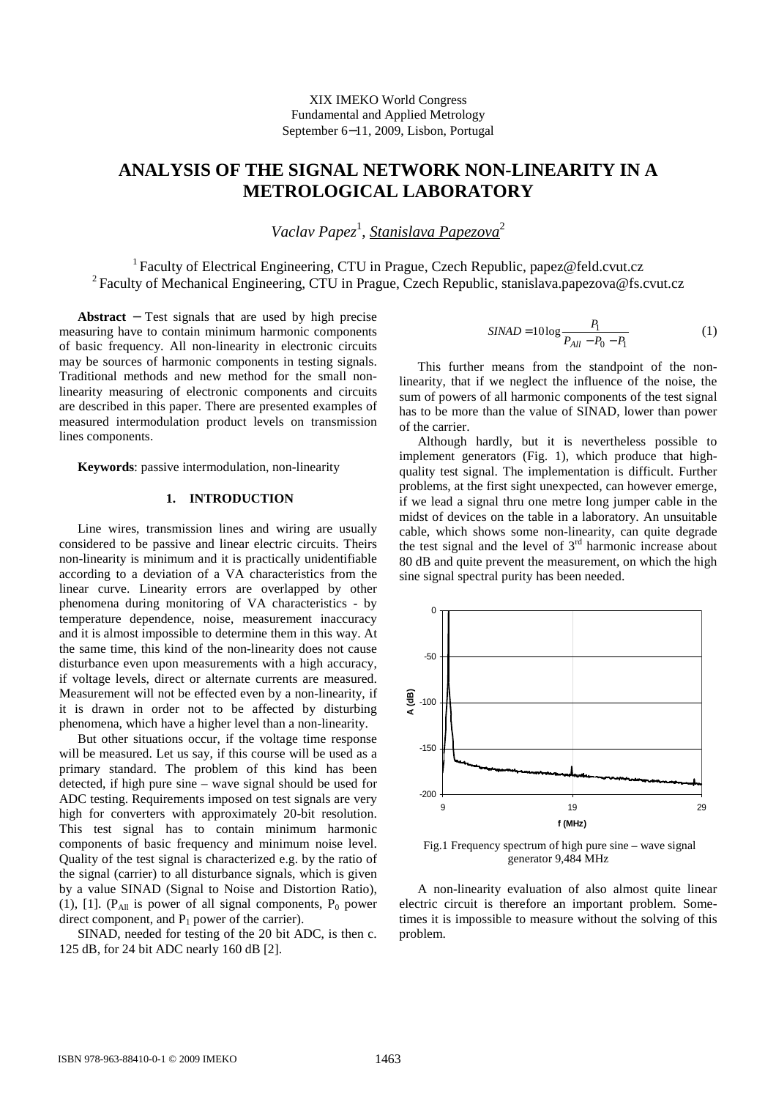# **ANALYSIS OF THE SIGNAL NETWORK NON-LINEARITY IN A METROLOGICAL LABORATORY**

Vaclav Papez<sup>1</sup>, <u>Stanislava Papezova</u><sup>2</sup>

<sup>1</sup> Faculty of Electrical Engineering, CTU in Prague, Czech Republic, papez@feld.cvut.cz <sup>2</sup>Faculty of Mechanical Engineering, CTU in Prague, Czech Republic, stanislava.papezova@fs.cvut.cz

**Abstract** − Test signals that are used by high precise measuring have to contain minimum harmonic components of basic frequency. All non-linearity in electronic circuits may be sources of harmonic components in testing signals. Traditional methods and new method for the small nonlinearity measuring of electronic components and circuits are described in this paper. There are presented examples of measured intermodulation product levels on transmission lines components.

**Keywords**: passive intermodulation, non-linearity

## **1. INTRODUCTION**

Line wires, transmission lines and wiring are usually considered to be passive and linear electric circuits. Theirs non-linearity is minimum and it is practically unidentifiable according to a deviation of a VA characteristics from the linear curve. Linearity errors are overlapped by other phenomena during monitoring of VA characteristics - by temperature dependence, noise, measurement inaccuracy and it is almost impossible to determine them in this way. At the same time, this kind of the non-linearity does not cause disturbance even upon measurements with a high accuracy, if voltage levels, direct or alternate currents are measured. Measurement will not be effected even by a non-linearity, if it is drawn in order not to be affected by disturbing phenomena, which have a higher level than a non-linearity.

But other situations occur, if the voltage time response will be measured. Let us say, if this course will be used as a primary standard. The problem of this kind has been detected, if high pure sine – wave signal should be used for ADC testing. Requirements imposed on test signals are very high for converters with approximately 20-bit resolution. This test signal has to contain minimum harmonic components of basic frequency and minimum noise level. Quality of the test signal is characterized e.g. by the ratio of the signal (carrier) to all disturbance signals, which is given by a value SINAD (Signal to Noise and Distortion Ratio), (1), [1]. ( $P_{All}$  is power of all signal components,  $P_0$  power direct component, and  $P_1$  power of the carrier).

SINAD, needed for testing of the 20 bit ADC, is then c. 125 dB, for 24 bit ADC nearly 160 dB [2].

$$
SINAD = 10\log \frac{P_1}{P_{All} - P_0 - P_1}
$$
 (1)

This further means from the standpoint of the nonlinearity, that if we neglect the influence of the noise, the sum of powers of all harmonic components of the test signal has to be more than the value of SINAD, lower than power of the carrier.

Although hardly, but it is nevertheless possible to implement generators (Fig. 1), which produce that highquality test signal. The implementation is difficult. Further problems, at the first sight unexpected, can however emerge, if we lead a signal thru one metre long jumper cable in the midst of devices on the table in a laboratory. An unsuitable cable, which shows some non-linearity, can quite degrade the test signal and the level of  $3<sup>rd</sup>$  harmonic increase about 80 dB and quite prevent the measurement, on which the high sine signal spectral purity has been needed.



 Fig.1 Frequency spectrum of high pure sine – wave signal generator 9,484 MHz

A non-linearity evaluation of also almost quite linear electric circuit is therefore an important problem. Sometimes it is impossible to measure without the solving of this problem.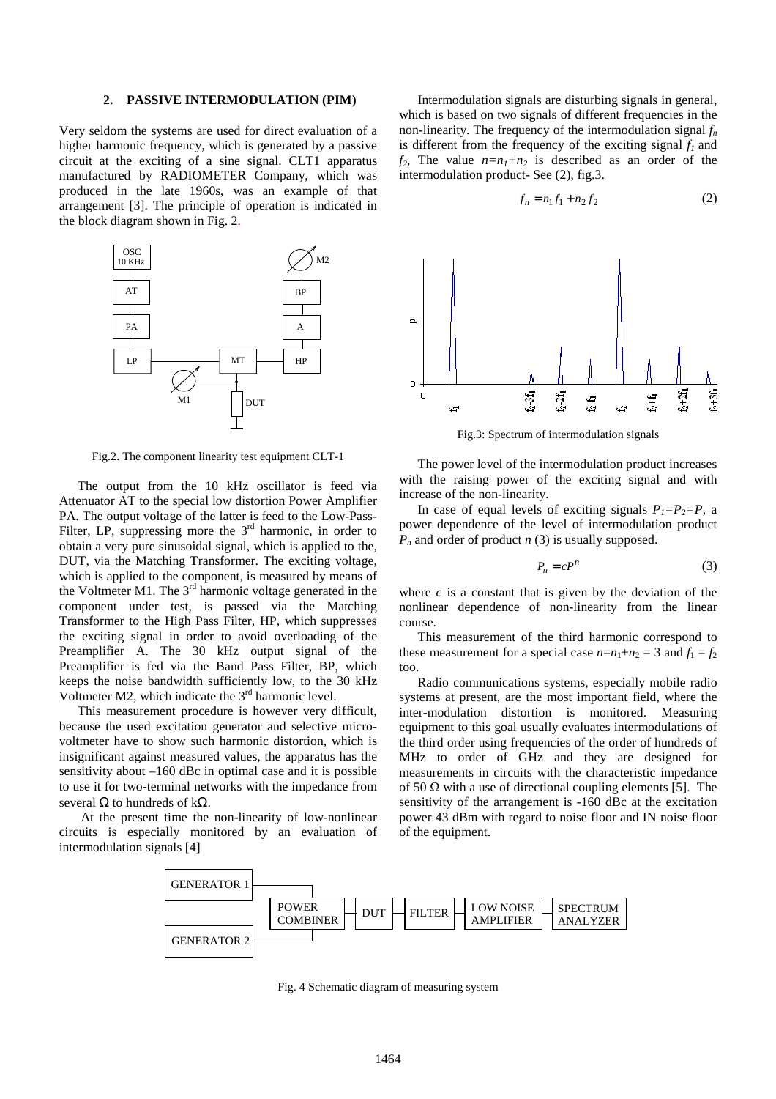#### **2. PASSIVE INTERMODULATION (PIM)**

Very seldom the systems are used for direct evaluation of a higher harmonic frequency, which is generated by a passive circuit at the exciting of a sine signal. CLT1 apparatus manufactured by RADIOMETER Company, which was produced in the late 1960s, was an example of that arrangement [3]. The principle of operation is indicated in the block diagram shown in Fig. 2.



Fig.2. The component linearity test equipment CLT-1

The output from the 10 kHz oscillator is feed via Attenuator AT to the special low distortion Power Amplifier PA. The output voltage of the latter is feed to the Low-Pass-Filter, LP, suppressing more the  $3<sup>rd</sup>$  harmonic, in order to obtain a very pure sinusoidal signal, which is applied to the, DUT, via the Matching Transformer. The exciting voltage, which is applied to the component, is measured by means of the Voltmeter M1. The 3<sup>rd</sup> harmonic voltage generated in the component under test, is passed via the Matching Transformer to the High Pass Filter, HP, which suppresses the exciting signal in order to avoid overloading of the Preamplifier A. The 30 kHz output signal of the Preamplifier is fed via the Band Pass Filter, BP, which keeps the noise bandwidth sufficiently low, to the 30 kHz Voltmeter M2, which indicate the  $3<sup>rd</sup>$  harmonic level.

This measurement procedure is however very difficult, because the used excitation generator and selective microvoltmeter have to show such harmonic distortion, which is insignificant against measured values, the apparatus has the sensitivity about –160 dBc in optimal case and it is possible to use it for two-terminal networks with the impedance from several  $\Omega$  to hundreds of k $\Omega$ .

 At the present time the non-linearity of low-nonlinear circuits is especially monitored by an evaluation of intermodulation signals [4]

Intermodulation signals are disturbing signals in general, which is based on two signals of different frequencies in the non-linearity. The frequency of the intermodulation signal *f<sup>n</sup>* is different from the frequency of the exciting signal *f<sup>1</sup>* and  $f_2$ , The value  $n=n_1+n_2$  is described as an order of the intermodulation product- See (2), fig.3.

$$
f_n = n_1 f_1 + n_2 f_2 \tag{2}
$$



Fig.3: Spectrum of intermodulation signals

The power level of the intermodulation product increases with the raising power of the exciting signal and with increase of the non-linearity.

In case of equal levels of exciting signals  $P_1 = P_2 = P_1$ , a power dependence of the level of intermodulation product *P<sup>n</sup>* and order of product *n* (3) is usually supposed.

$$
P_n = cP^n \tag{3}
$$

where  $c$  is a constant that is given by the deviation of the nonlinear dependence of non-linearity from the linear course.

This measurement of the third harmonic correspond to these measurement for a special case  $n=n_1+n_2=3$  and  $f_1 = f_2$ too.

Radio communications systems, especially mobile radio systems at present, are the most important field, where the inter-modulation distortion is monitored. Measuring equipment to this goal usually evaluates intermodulations of the third order using frequencies of the order of hundreds of MHz to order of GHz and they are designed for measurements in circuits with the characteristic impedance of 50  $\Omega$  with a use of directional coupling elements [5]. The sensitivity of the arrangement is -160 dBc at the excitation power 43 dBm with regard to noise floor and IN noise floor of the equipment.



Fig. 4 Schematic diagram of measuring system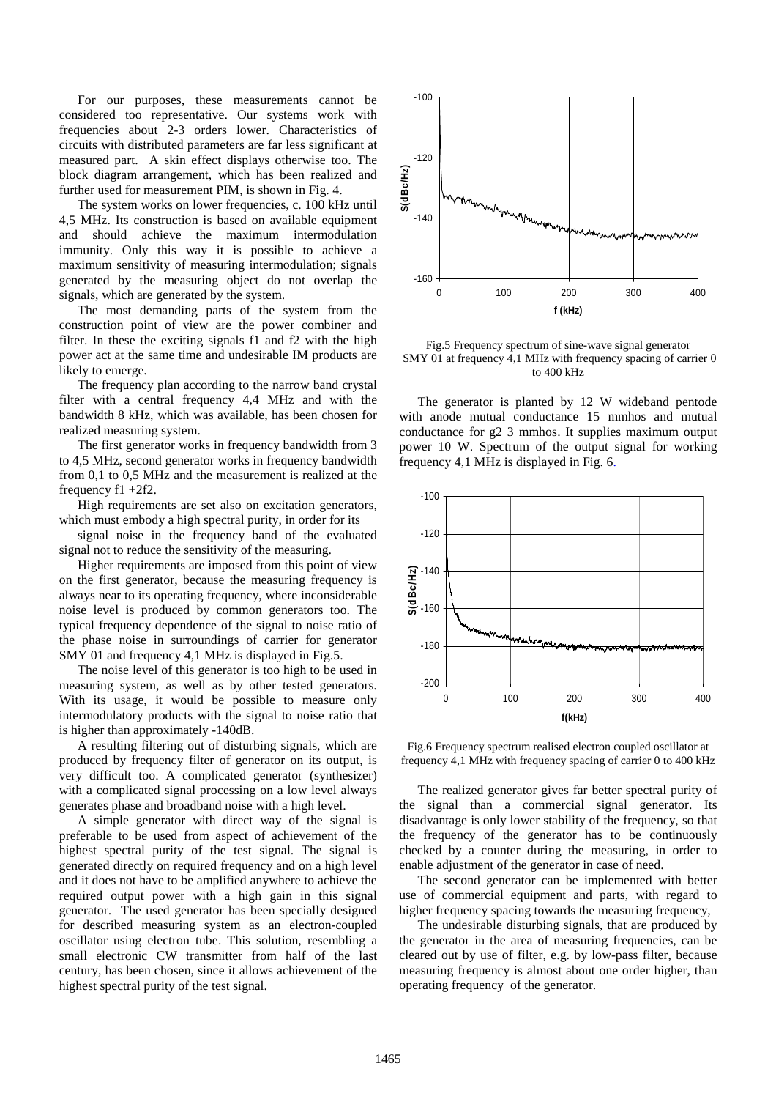For our purposes, these measurements cannot be considered too representative. Our systems work with frequencies about 2-3 orders lower. Characteristics of circuits with distributed parameters are far less significant at measured part. A skin effect displays otherwise too. The block diagram arrangement, which has been realized and further used for measurement PIM, is shown in Fig. 4.

The system works on lower frequencies, c. 100 kHz until 4,5 MHz. Its construction is based on available equipment and should achieve the maximum intermodulation immunity. Only this way it is possible to achieve a maximum sensitivity of measuring intermodulation; signals generated by the measuring object do not overlap the signals, which are generated by the system.

The most demanding parts of the system from the construction point of view are the power combiner and filter. In these the exciting signals f1 and f2 with the high power act at the same time and undesirable IM products are likely to emerge.

The frequency plan according to the narrow band crystal filter with a central frequency 4,4 MHz and with the bandwidth 8 kHz, which was available, has been chosen for realized measuring system.

The first generator works in frequency bandwidth from 3 to 4,5 MHz, second generator works in frequency bandwidth from 0,1 to 0,5 MHz and the measurement is realized at the frequency f1 +2f2.

High requirements are set also on excitation generators, which must embody a high spectral purity, in order for its

signal noise in the frequency band of the evaluated signal not to reduce the sensitivity of the measuring.

Higher requirements are imposed from this point of view on the first generator, because the measuring frequency is always near to its operating frequency, where inconsiderable noise level is produced by common generators too. The typical frequency dependence of the signal to noise ratio of the phase noise in surroundings of carrier for generator SMY 01 and frequency 4,1 MHz is displayed in Fig.5.

The noise level of this generator is too high to be used in measuring system, as well as by other tested generators. With its usage, it would be possible to measure only intermodulatory products with the signal to noise ratio that is higher than approximately -140dB.

A resulting filtering out of disturbing signals, which are produced by frequency filter of generator on its output, is very difficult too. A complicated generator (synthesizer) with a complicated signal processing on a low level always generates phase and broadband noise with a high level.

A simple generator with direct way of the signal is preferable to be used from aspect of achievement of the highest spectral purity of the test signal. The signal is generated directly on required frequency and on a high level and it does not have to be amplified anywhere to achieve the required output power with a high gain in this signal generator. The used generator has been specially designed for described measuring system as an electron-coupled oscillator using electron tube. This solution, resembling a small electronic CW transmitter from half of the last century, has been chosen, since it allows achievement of the highest spectral purity of the test signal.



Fig.5 Frequency spectrum of sine-wave signal generator SMY 01 at frequency 4,1 MHz with frequency spacing of carrier 0 to 400 kHz

The generator is planted by 12 W wideband pentode with anode mutual conductance 15 mmhos and mutual conductance for g2 3 mmhos. It supplies maximum output power 10 W. Spectrum of the output signal for working frequency 4,1 MHz is displayed in Fig. 6.



Fig.6 Frequency spectrum realised electron coupled oscillator at frequency 4,1 MHz with frequency spacing of carrier 0 to 400 kHz

The realized generator gives far better spectral purity of the signal than a commercial signal generator. Its disadvantage is only lower stability of the frequency, so that the frequency of the generator has to be continuously checked by a counter during the measuring, in order to enable adjustment of the generator in case of need.

The second generator can be implemented with better use of commercial equipment and parts, with regard to higher frequency spacing towards the measuring frequency,

The undesirable disturbing signals, that are produced by the generator in the area of measuring frequencies, can be cleared out by use of filter, e.g. by low-pass filter, because measuring frequency is almost about one order higher, than operating frequency of the generator.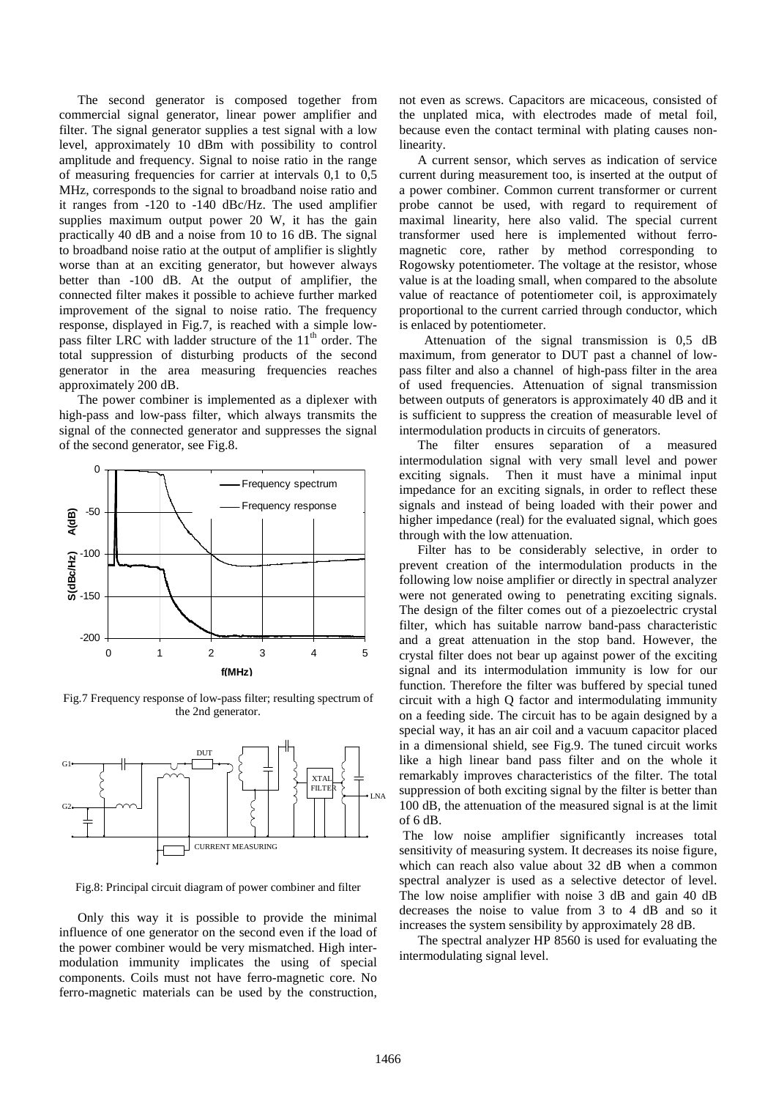The second generator is composed together from commercial signal generator, linear power amplifier and filter. The signal generator supplies a test signal with a low level, approximately 10 dBm with possibility to control amplitude and frequency. Signal to noise ratio in the range of measuring frequencies for carrier at intervals 0,1 to 0,5 MHz, corresponds to the signal to broadband noise ratio and it ranges from -120 to -140 dBc/Hz. The used amplifier supplies maximum output power 20 W, it has the gain practically 40 dB and a noise from 10 to 16 dB. The signal to broadband noise ratio at the output of amplifier is slightly worse than at an exciting generator, but however always better than -100 dB. At the output of amplifier, the connected filter makes it possible to achieve further marked improvement of the signal to noise ratio. The frequency response, displayed in Fig.7, is reached with a simple lowpass filter LRC with ladder structure of the  $11<sup>th</sup>$  order. The total suppression of disturbing products of the second generator in the area measuring frequencies reaches approximately 200 dB.

The power combiner is implemented as a diplexer with high-pass and low-pass filter, which always transmits the signal of the connected generator and suppresses the signal of the second generator, see Fig.8.



Fig.7 Frequency response of low-pass filter; resulting spectrum of the 2nd generator.



Fig.8: Principal circuit diagram of power combiner and filter

Only this way it is possible to provide the minimal influence of one generator on the second even if the load of the power combiner would be very mismatched. High intermodulation immunity implicates the using of special components. Coils must not have ferro-magnetic core. No ferro-magnetic materials can be used by the construction, not even as screws. Capacitors are micaceous, consisted of the unplated mica, with electrodes made of metal foil, because even the contact terminal with plating causes nonlinearity.

A current sensor, which serves as indication of service current during measurement too, is inserted at the output of a power combiner. Common current transformer or current probe cannot be used, with regard to requirement of maximal linearity, here also valid. The special current transformer used here is implemented without ferromagnetic core, rather by method corresponding to Rogowsky potentiometer. The voltage at the resistor, whose value is at the loading small, when compared to the absolute value of reactance of potentiometer coil, is approximately proportional to the current carried through conductor, which is enlaced by potentiometer.

 Attenuation of the signal transmission is 0,5 dB maximum, from generator to DUT past a channel of lowpass filter and also a channel of high-pass filter in the area of used frequencies. Attenuation of signal transmission between outputs of generators is approximately 40 dB and it is sufficient to suppress the creation of measurable level of intermodulation products in circuits of generators.

The filter ensures separation of a measured intermodulation signal with very small level and power exciting signals. Then it must have a minimal input impedance for an exciting signals, in order to reflect these signals and instead of being loaded with their power and higher impedance (real) for the evaluated signal, which goes through with the low attenuation.

Filter has to be considerably selective, in order to prevent creation of the intermodulation products in the following low noise amplifier or directly in spectral analyzer were not generated owing to penetrating exciting signals. The design of the filter comes out of a piezoelectric crystal filter, which has suitable narrow band-pass characteristic and a great attenuation in the stop band. However, the crystal filter does not bear up against power of the exciting signal and its intermodulation immunity is low for our function. Therefore the filter was buffered by special tuned circuit with a high Q factor and intermodulating immunity on a feeding side. The circuit has to be again designed by a special way, it has an air coil and a vacuum capacitor placed in a dimensional shield, see Fig.9. The tuned circuit works like a high linear band pass filter and on the whole it remarkably improves characteristics of the filter. The total suppression of both exciting signal by the filter is better than 100 dB, the attenuation of the measured signal is at the limit of 6 dB.

The low noise amplifier significantly increases total sensitivity of measuring system. It decreases its noise figure, which can reach also value about 32 dB when a common spectral analyzer is used as a selective detector of level. The low noise amplifier with noise 3 dB and gain 40 dB decreases the noise to value from 3 to 4 dB and so it increases the system sensibility by approximately 28 dB.

The spectral analyzer HP 8560 is used for evaluating the intermodulating signal level.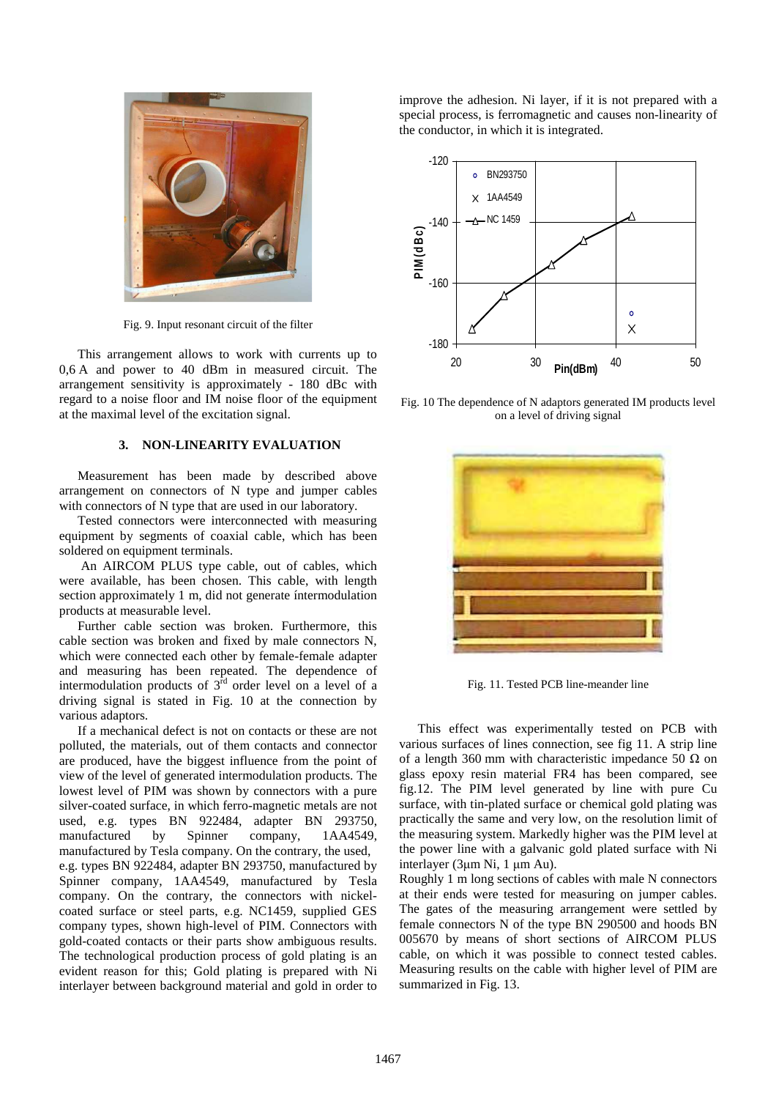

Fig. 9. Input resonant circuit of the filter

This arrangement allows to work with currents up to 0,6 A and power to 40 dBm in measured circuit. The arrangement sensitivity is approximately - 180 dBc with regard to a noise floor and IM noise floor of the equipment at the maximal level of the excitation signal.

# **3. NON-LINEARITY EVALUATION**

Measurement has been made by described above arrangement on connectors of N type and jumper cables with connectors of N type that are used in our laboratory.

Tested connectors were interconnected with measuring equipment by segments of coaxial cable, which has been soldered on equipment terminals.

 An AIRCOM PLUS type cable, out of cables, which were available, has been chosen. This cable, with length section approximately 1 m, did not generate íntermodulation products at measurable level.

Further cable section was broken. Furthermore, this cable section was broken and fixed by male connectors N, which were connected each other by female-female adapter and measuring has been repeated. The dependence of intermodulation products of  $3<sup>rd</sup>$  order level on a level of a driving signal is stated in Fig. 10 at the connection by various adaptors.

If a mechanical defect is not on contacts or these are not polluted, the materials, out of them contacts and connector are produced, have the biggest influence from the point of view of the level of generated intermodulation products. The lowest level of PIM was shown by connectors with a pure silver-coated surface, in which ferro-magnetic metals are not used, e.g. types BN 922484, adapter BN 293750, manufactured by Spinner company, 1AA4549, manufactured by Tesla company. On the contrary, the used, e.g. types BN 922484, adapter BN 293750, manufactured by Spinner company, 1AA4549, manufactured by Tesla company. On the contrary, the connectors with nickelcoated surface or steel parts, e.g. NC1459, supplied GES company types, shown high-level of PIM. Connectors with gold-coated contacts or their parts show ambiguous results. The technological production process of gold plating is an evident reason for this; Gold plating is prepared with Ni interlayer between background material and gold in order to improve the adhesion. Ni layer, if it is not prepared with a special process, is ferromagnetic and causes non-linearity of the conductor, in which it is integrated.



Fig. 10 The dependence of N adaptors generated IM products level on a level of driving signal



Fig. 11. Tested PCB line-meander line

This effect was experimentally tested on PCB with various surfaces of lines connection, see fig 11. A strip line of a length 360 mm with characteristic impedance 50  $\Omega$  on glass epoxy resin material FR4 has been compared, see fig.12. The PIM level generated by line with pure Cu surface, with tin-plated surface or chemical gold plating was practically the same and very low, on the resolution limit of the measuring system. Markedly higher was the PIM level at the power line with a galvanic gold plated surface with Ni interlayer (3µm Ni, 1 µm Au).

Roughly 1 m long sections of cables with male N connectors at their ends were tested for measuring on jumper cables. The gates of the measuring arrangement were settled by female connectors N of the type BN 290500 and hoods BN 005670 by means of short sections of AIRCOM PLUS cable, on which it was possible to connect tested cables. Measuring results on the cable with higher level of PIM are summarized in Fig. 13.